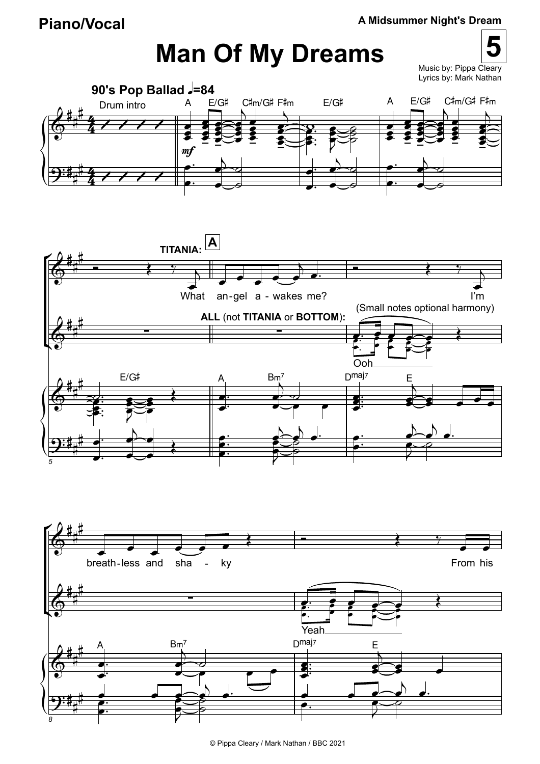## **Man Of My Dreams**

**5** Music by: Pippa Cleary Lyrics by: Mark Nathan





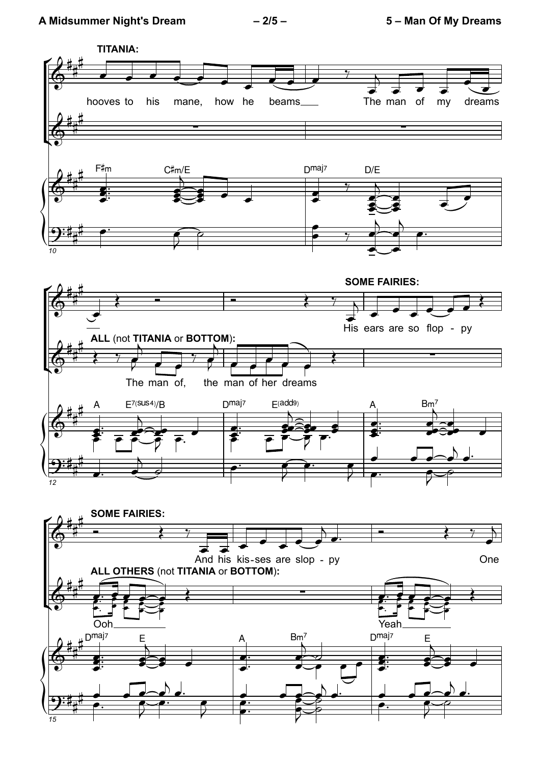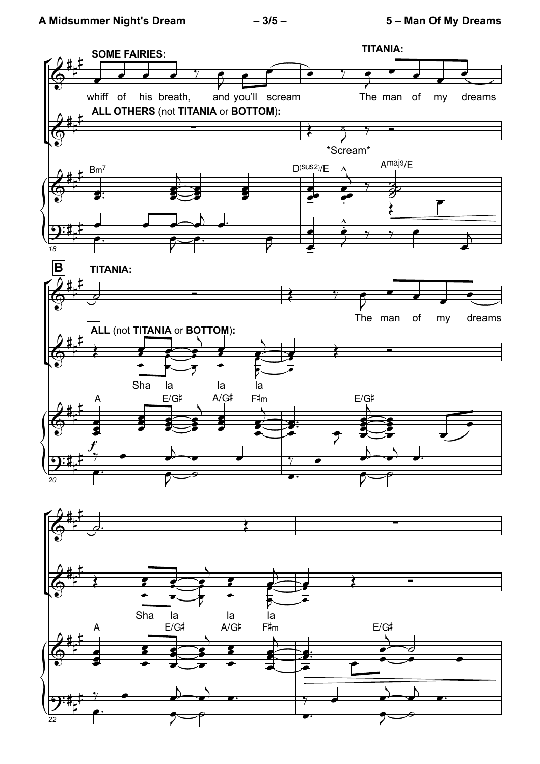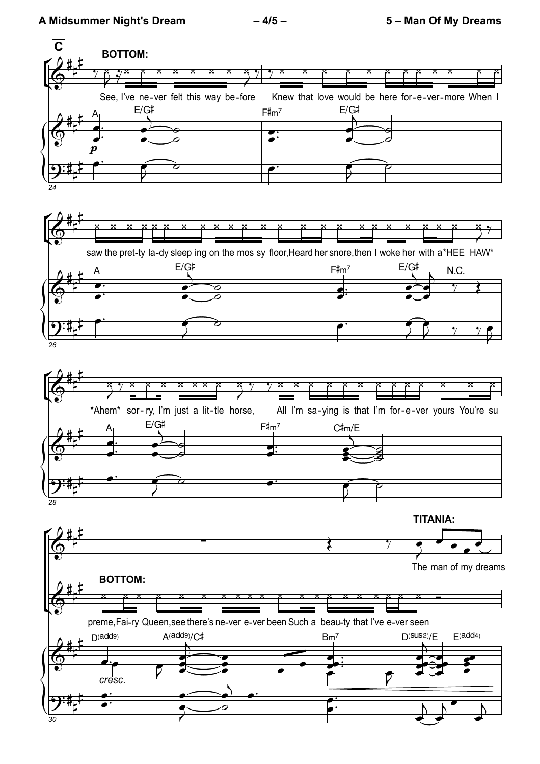